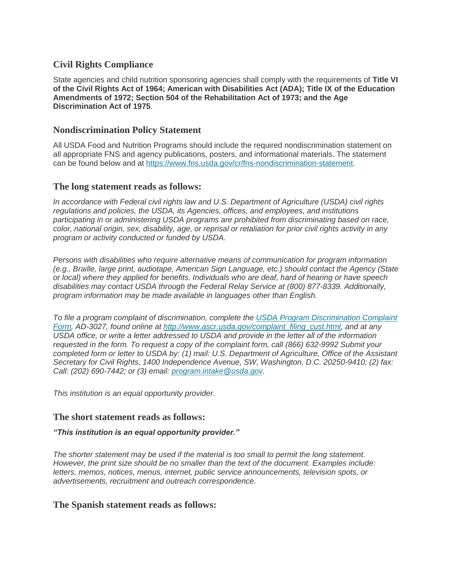# **Civil Rights Compliance**

State agencies and child nutrition sponsoring agencies shall comply with the requirements of **Title VI of the Civil Rights Act of 1964; American with Disabilities Act (ADA); Title IX of the Education Amendments of 1972; Section 504 of the Rehabilitation Act of 1973; and the Age Discrimination Act of 1975**.

### **Nondiscrimination Policy Statement**

All USDA Food and Nutrition Programs should include the required nondiscrimination statement on all appropriate FNS and agency publications, posters, and informational materials. The statement can be found below and at [https://www.fns.usda.gov/cr/fns-nondiscrimination-statement.](https://www.fns.usda.gov/cr/fns-nondiscrimination-statement)

#### **The long statement reads as follows:**

*In accordance with Federal civil rights law and U.S. Department of Agriculture (USDA) civil rights regulations and policies, the USDA, its Agencies, offices, and employees, and institutions participating in or administering USDA programs are prohibited from discriminating based on race, color, national origin, sex, disability, age, or reprisal or retaliation for prior civil rights activity in any program or activity conducted or funded by USDA.*

*Persons with disabilities who require alternative means of communication for program information (e.g., Braille, large print, audiotape, American Sign Language, etc.) should contact the Agency (State or local) where they applied for benefits. Individuals who are deaf, hard of hearing or have speech disabilities may contact USDA through the Federal Relay Service at (800) 877-8339. Additionally, program information may be made available in languages other than English.*

*To file a program complaint of discrimination, complete the [USDA Program Discrimination Complaint](https://www.ocio.usda.gov/sites/default/files/docs/2012/Complain_combined_6_8_12.pdf)  [Form,](https://www.ocio.usda.gov/sites/default/files/docs/2012/Complain_combined_6_8_12.pdf) AD-3027, found online at [http://www.ascr.usda.gov/complaint\\_filing\\_cust.html,](http://www.ascr.usda.gov/complaint_filing_cust.html) and at any USDA office, or write a letter addressed to USDA and provide in the letter all of the information requested in the form. To request a copy of the complaint form, call (866) 632-9992 Submit your completed form or letter to USDA by: (1) mail: U.S. Department of Agriculture, Office of the Assistant Secretary for Civil Rights, 1400 Independence Avenue, SW, Washington, D.C. 20250-9410; (2) fax: Call: (202) 690-7442; or (3) email: [program.intake@usda.gov.](mailto:program.intake@usda.gov)*

*This institution is an equal opportunity provider.* 

#### **The short statement reads as follows:**

#### *"This institution is an equal opportunity provider."*

*The shorter statement may be used if the material is too small to permit the long statement. However, the print size should be no smaller than the text of the document. Examples include: letters, memos, notices, menus, internet, public service announcements, television spots, or advertisements, recruitment and outreach correspondence.*

# **The Spanish statement reads as follows:**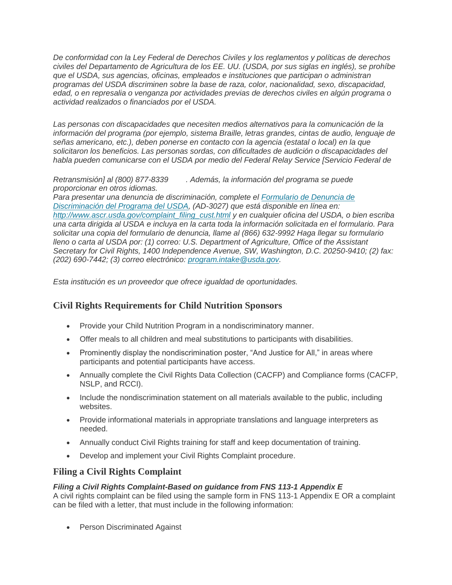*De conformidad con la Ley Federal de Derechos Civiles y los reglamentos y políticas de derechos civiles del Departamento de Agricultura de los EE. UU. (USDA, por sus siglas en inglés), se prohíbe que el USDA, sus agencias, oficinas, empleados e instituciones que participan o administran programas del USDA discriminen sobre la base de raza, color, nacionalidad, sexo, discapacidad, edad, o en represalia o venganza por actividades previas de derechos civiles en algún programa o actividad realizados o financiados por el USDA.*

*Las personas con discapacidades que necesiten medios alternativos para la comunicación de la información del programa (por ejemplo, sistema Braille, letras grandes, cintas de audio, lenguaje de señas americano, etc.), deben ponerse en contacto con la agencia (estatal o local) en la que solicitaron los beneficios. Las personas sordas, con dificultades de audición o discapacidades del habla pueden comunicarse con el USDA por medio del Federal Relay Service [Servicio Federal de* 

*Retransmisión] al (800) 877-8339 [.](https://www.azed.gov/) Además, la información del programa se puede proporcionar en otros idiomas.*

*Para presentar una denuncia de discriminación, complete el [Formulario de Denuncia de](https://cms.azed.gov/home/GetDocumentFile?id=5ad108813217e112f05425ce)  [Discriminación del Programa del USDA,](https://cms.azed.gov/home/GetDocumentFile?id=5ad108813217e112f05425ce) (AD-3027) que está disponible en línea en: [http://www.ascr.usda.gov/complaint\\_filing\\_cust.html](http://www.ascr.usda.gov/complaint_filing_cust.html) y en cualquier oficina del USDA, o bien escriba una carta dirigida al USDA e incluya en la carta toda la información solicitada en el formulario. Para solicitar una copia del formulario de denuncia, llame al (866) 632-9992 Haga llegar su formulario lleno o carta al USDA por: (1) correo: U.S. Department of Agriculture, Office of the Assistant Secretary for Civil Rights, 1400 Independence Avenue, SW, Washington, D.C. 20250-9410; (2) fax: (202) 690-7442; (3) correo electrónico: [program.intake@usda.gov.](mailto:program.intake@usda.gov)*

*Esta institución es un proveedor que ofrece igualdad de oportunidades.* 

# **Civil Rights Requirements for Child Nutrition Sponsors**

- Provide your Child Nutrition Program in a nondiscriminatory manner.
- Offer meals to all children and meal substitutions to participants with disabilities.
- Prominently display the nondiscrimination poster, "And Justice for All," in areas where participants and potential participants have access.
- Annually complete the Civil Rights Data Collection (CACFP) and Compliance forms (CACFP, NSLP, and RCCI).
- Include the nondiscrimination statement on all materials available to the public, including websites.
- Provide informational materials in appropriate translations and language interpreters as needed.
- Annually conduct Civil Rights training for staff and keep documentation of training.
- Develop and implement your Civil Rights Complaint procedure.

# **Filing a Civil Rights Complaint**

#### *Filing a Civil Rights Complaint-Based on guidance from FNS 113-1 Appendix E*

A civil rights complaint can be filed using the sample form in FNS 113-1 Appendix E OR a complaint can be filed with a letter, that must include in the following information:

• Person Discriminated Against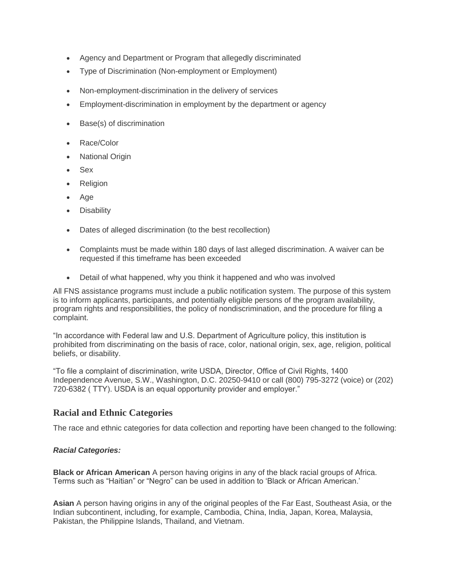- Agency and Department or Program that allegedly discriminated
- Type of Discrimination (Non-employment or Employment)
- Non-employment-discrimination in the delivery of services
- Employment-discrimination in employment by the department or agency
- Base(s) of discrimination
- Race/Color
- National Origin
- Sex
- Religion
- Age
- Disability
- Dates of alleged discrimination (to the best recollection)
- Complaints must be made within 180 days of last alleged discrimination. A waiver can be requested if this timeframe has been exceeded
- Detail of what happened, why you think it happened and who was involved

All FNS assistance programs must include a public notification system. The purpose of this system is to inform applicants, participants, and potentially eligible persons of the program availability, program rights and responsibilities, the policy of nondiscrimination, and the procedure for filing a complaint.

"In accordance with Federal law and U.S. Department of Agriculture policy, this institution is prohibited from discriminating on the basis of race, color, national origin, sex, age, religion, political beliefs, or disability.

"To file a complaint of discrimination, write USDA, Director, Office of Civil Rights, 1400 Independence Avenue, S.W., Washington, D.C. 20250-9410 or call (800) 795-3272 (voice) or (202) 720-6382 ( TTY). USDA is an equal opportunity provider and employer."

# **Racial and Ethnic Categories**

The race and ethnic categories for data collection and reporting have been changed to the following:

#### *Racial Categories:*

**Black or African American** A person having origins in any of the black racial groups of Africa. Terms such as "Haitian" or "Negro" can be used in addition to 'Black or African American.'

**Asian** A person having origins in any of the original peoples of the Far East, Southeast Asia, or the Indian subcontinent, including, for example, Cambodia, China, India, Japan, Korea, Malaysia, Pakistan, the Philippine Islands, Thailand, and Vietnam.